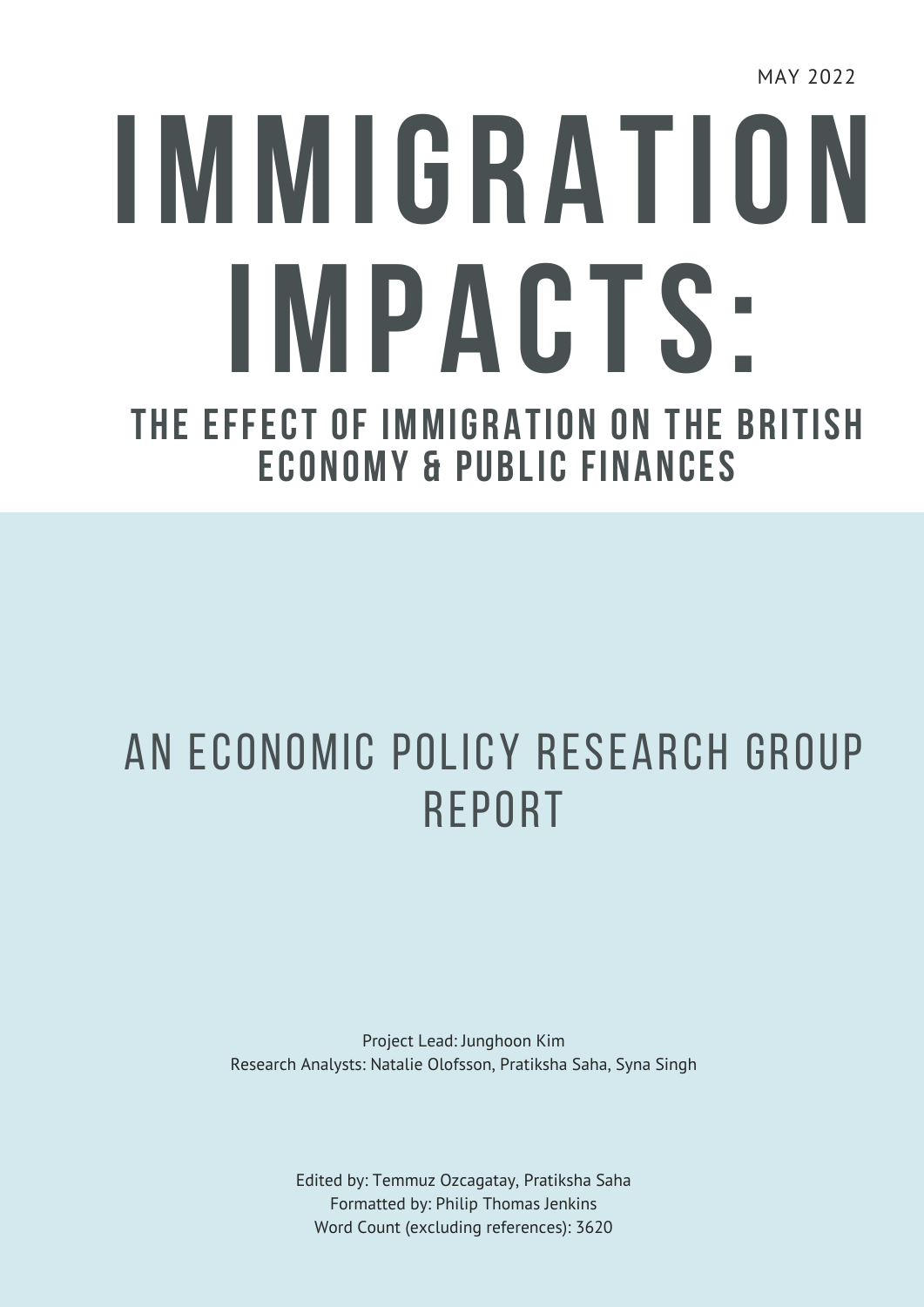MAY 2022

# **IMMIGRATION IMPACTS: THE EFFECT OF IMMIGRATION ON THE BRITISH ECONOMY & PUBLIC FINANCES**

### An Economic Policy Research Group **REPORT**

Project Lead: Junghoon Kim Research Analysts: Natalie Olofsson, Pratiksha Saha, Syna Singh

> Edited by: Temmuz Ozcagatay, Pratiksha Saha Formatted by: Philip Thomas Jenkins Word Count (excluding references): 3620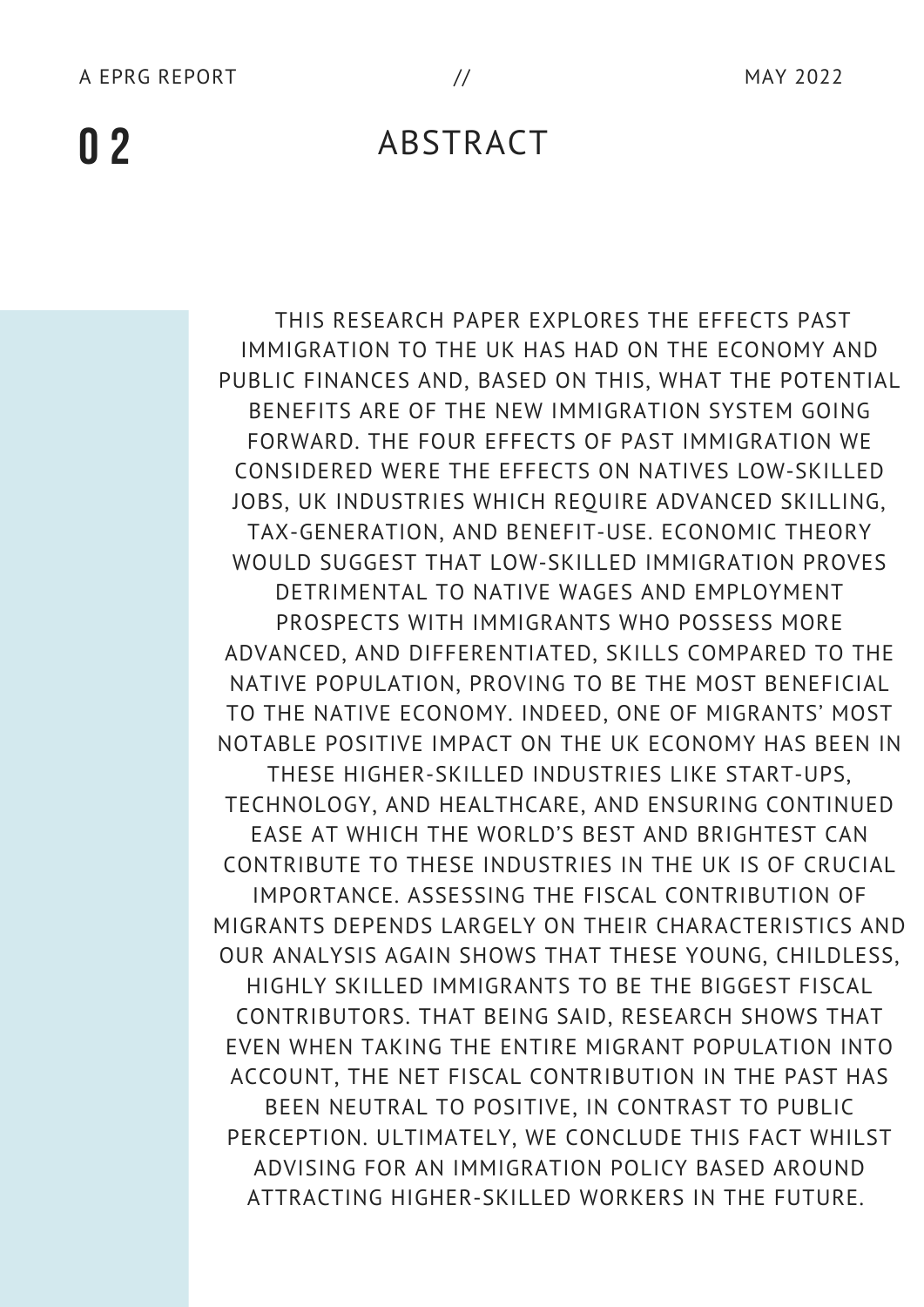#### ABSTRACT

THIS RESEARCH PAPER EXPLORES THE EFFECTS PAST IMMIGRATION TO THE UK HAS HAD ON THE ECONOMY AND PUBLIC FINANCES AND, BASED ON THIS, WHAT THE POTENTIAL BENEFITS ARE OF THE NEW IMMIGRATION SYSTEM GOING FORWARD. THE FOUR EFFECTS OF PAST IMMIGRATION WE CONSIDERED WERE THE EFFECTS ON NATIVES LOW-SKILLED JOBS, UK INDUSTRIES WHICH REQUIRE ADVANCED SKILLING, TAX-GENERATION, AND BENEFIT-USE. ECONOMIC THEORY WOULD SUGGEST THAT LOW-SKILLED IMMIGRATION PROVES DETRIMENTAL TO NATIVE WAGES AND EMPLOYMENT PROSPECTS WITH IMMIGRANTS WHO POSSESS MORE ADVANCED, AND DIFFERENTIATED, SKILLS COMPARED TO THE NATIVE POPULATION, PROVING TO BE THE MOST BENEFICIAL TO THE NATIVE ECONOMY. INDEED, ONE OF MIGRANTS' MOST NOTABLE POSITIVE IMPACT ON THE UK ECONOMY HAS BEEN IN THESE HIGHER-SKILLED INDUSTRIES LIKE START-UPS, TECHNOLOGY, AND HEALTHCARE, AND ENSURING CONTINUED EASE AT WHICH THE WORLD'S BEST AND BRIGHTEST CAN CONTRIBUTE TO THESE INDUSTRIES IN THE UK IS OF CRUCIAL IMPORTANCE. ASSESSING THE FISCAL CONTRIBUTION OF MIGRANTS DEPENDS LARGELY ON THEIR CHARACTERISTICS AND OUR ANALYSIS AGAIN SHOWS THAT THESE YOUNG, CHILDLESS, HIGHLY SKILLED IMMIGRANTS TO BE THE BIGGEST FISCAL CONTRIBUTORS. THAT BEING SAID, RESEARCH SHOWS THAT EVEN WHEN TAKING THE ENTIRE MIGRANT POPULATION INTO ACCOUNT, THE NET FISCAL CONTRIBUTION IN THE PAST HAS BEEN NEUTRAL TO POSITIVE, IN CONTRAST TO PUBLIC PERCEPTION. ULTIMATELY, WE CONCLUDE THIS FACT WHILST ADVISING FOR AN IMMIGRATION POLICY BASED AROUND ATTRACTING HIGHER-SKILLED WORKERS IN THE FUTURE.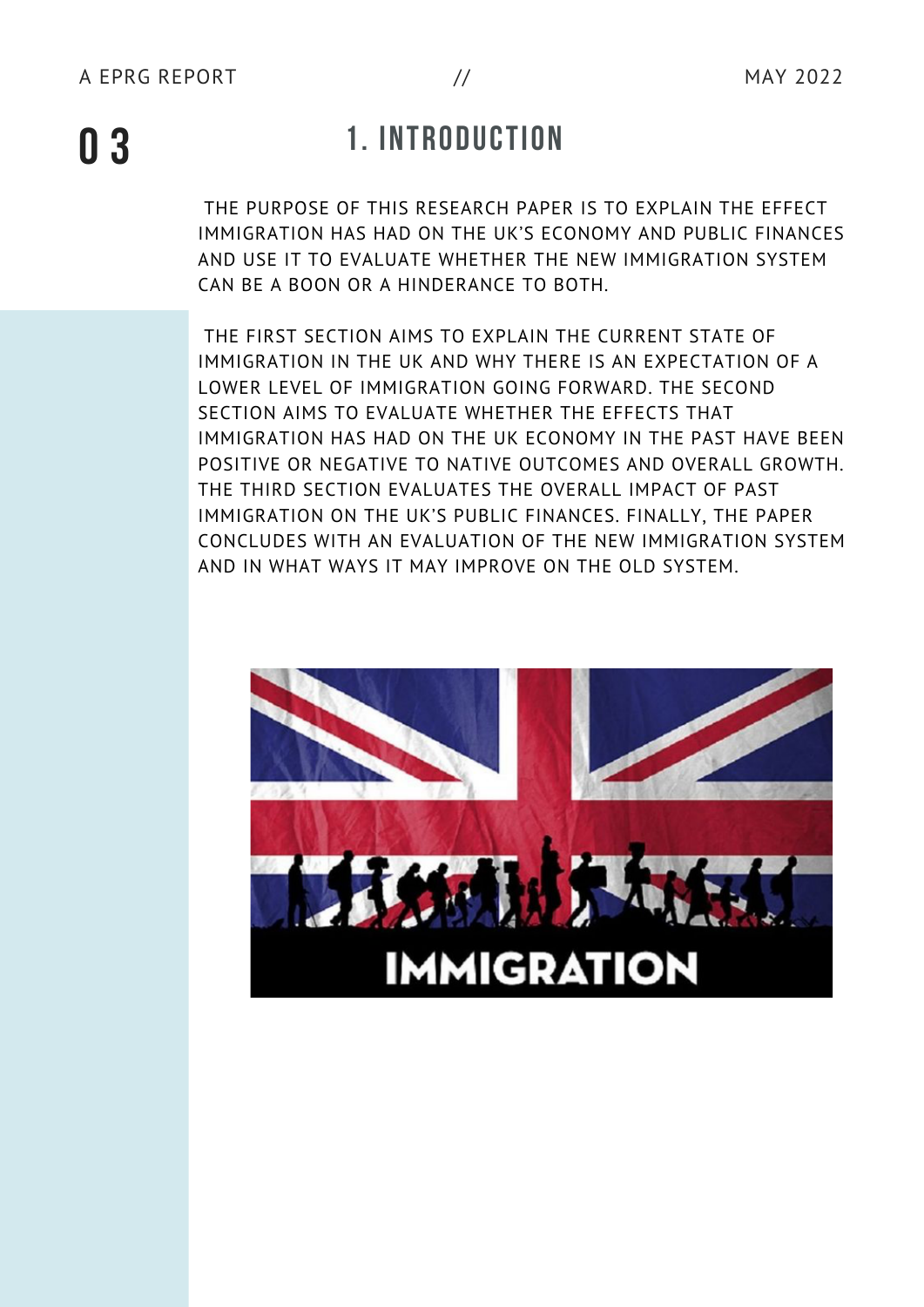### **1. INTRODUCTION 0 3**

THE PURPOSE OF THIS RESEARCH PAPER IS TO EXPLAIN THE EFFECT IMMIGRATION HAS HAD ON THE UK'S ECONOMY AND PUBLIC FINANCES AND USE IT TO EVALUATE WHETHER THE NEW IMMIGRATION SYSTEM CAN BE A BOON OR A HINDERANCE TO BOTH.

THE FIRST SECTION AIMS TO EXPLAIN THE CURRENT STATE OF IMMIGRATION IN THE UK AND WHY THERE IS AN EXPECTATION OF A LOWER LEVEL OF IMMIGRATION GOING FORWARD. THE SECOND SECTION AIMS TO EVALUATE WHETHER THE EFFECTS THAT IMMIGRATION HAS HAD ON THE UK ECONOMY IN THE PAST HAVE BEEN POSITIVE OR NEGATIVE TO NATIVE OUTCOMES AND OVERALL GROWTH. THE THIRD SECTION EVALUATES THE OVERALL IMPACT OF PAST IMMIGRATION ON THE UK'S PUBLIC FINANCES. FINALLY, THE PAPER CONCLUDES WITH AN EVALUATION OF THE NEW IMMIGRATION SYSTEM AND IN WHAT WAYS IT MAY IMPROVE ON THE OLD SYSTEM.

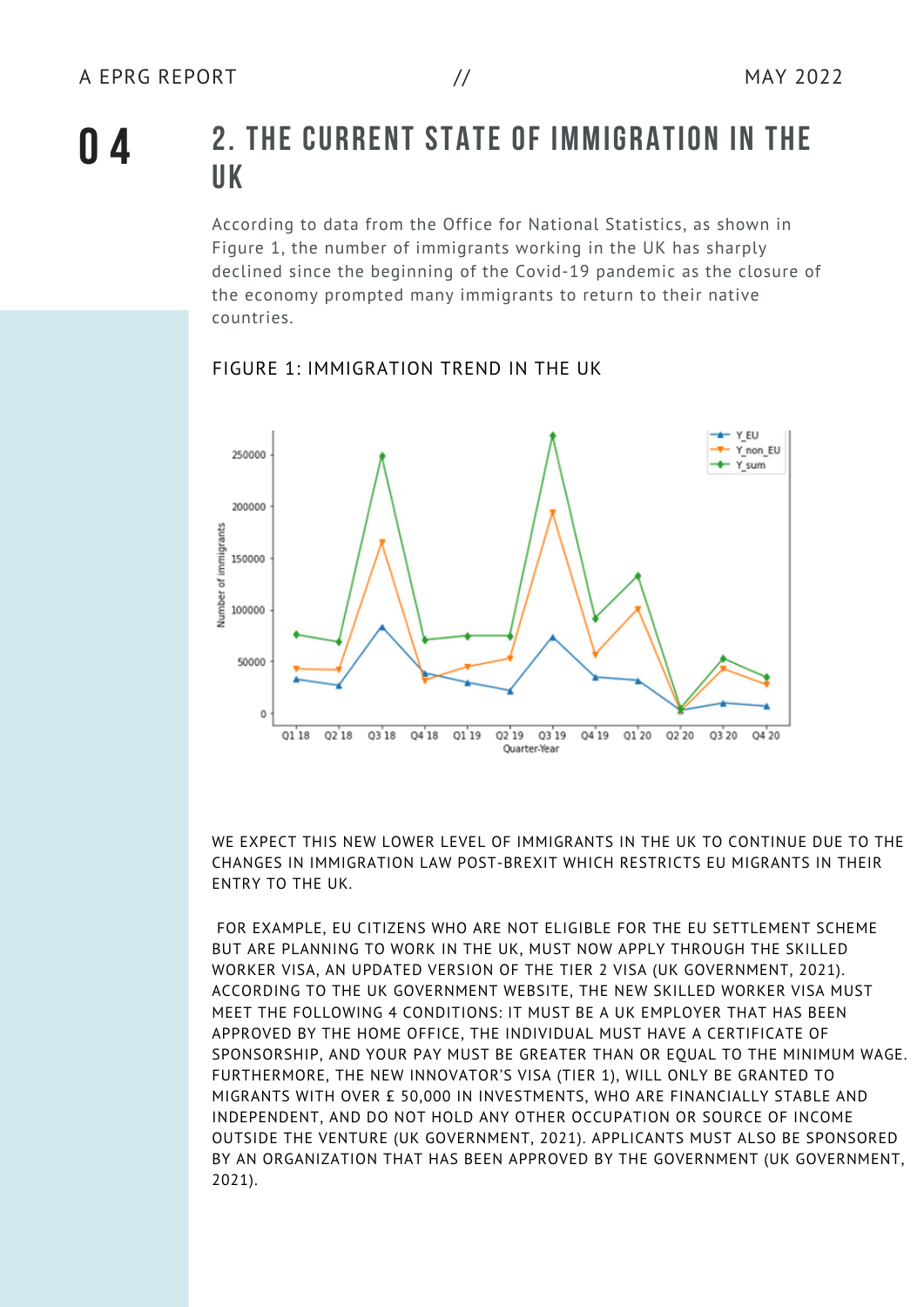#### **2. THE CURRENT STATE OF IMMIGRATION IN THE UK**

According to data from the Office for National Statistics, as shown in Figure 1, the number of immigrants working in the UK has sharply declined since the beginning of the Covid-19 pandemic as the closure of the economy prompted many immigrants to return to their native countries.



#### FIGURE 1: IMMIGRATION TREND IN THE UK

WE EXPECT THIS NEW LOWER LEVEL OF IMMIGRANTS IN THE UK TO CONTINUE DUE TO THE CHANGES IN IMMIGRATION LAW POST-BREXIT WHICH RESTRICTS EU MIGRANTS IN THEIR ENTRY TO THE UK.

FOR EXAMPLE, EU CITIZENS WHO ARE NOT ELIGIBLE FOR THE EU SETTLEMENT SCHEME BUT ARE PLANNING TO WORK IN THE UK, MUST NOW APPLY THROUGH THE SKILLED WORKER VISA, AN UPDATED VERSION OF THE TIER 2 VISA (UK GOVERNMENT, 2021). ACCORDING TO THE UK GOVERNMENT WEBSITE, THE NEW SKILLED WORKER VISA MUST MEET THE FOLLOWING 4 CONDITIONS: IT MUST BE A UK EMPLOYER THAT HAS BEEN APPROVED BY THE HOME OFFICE, THE INDIVIDUAL MUST HAVE A CERTIFICATE OF SPONSORSHIP, AND YOUR PAY MUST BE GREATER THAN OR EQUAL TO THE MINIMUM WAGE. FURTHERMORE, THE NEW INNOVATOR'S VISA (TIER 1), WILL ONLY BE GRANTED TO MIGRANTS WITH OVER £ 50,000 IN INVESTMENTS, WHO ARE FINANCIALLY STABLE AND INDEPENDENT, AND DO NOT HOLD ANY OTHER OCCUPATION OR SOURCE OF INCOME OUTSIDE THE VENTURE (UK GOVERNMENT, 2021). APPLICANTS MUST ALSO BE SPONSORED BY AN ORGANIZATION THAT HAS BEEN APPROVED BY THE GOVERNMENT (UK GOVERNMENT, 2021).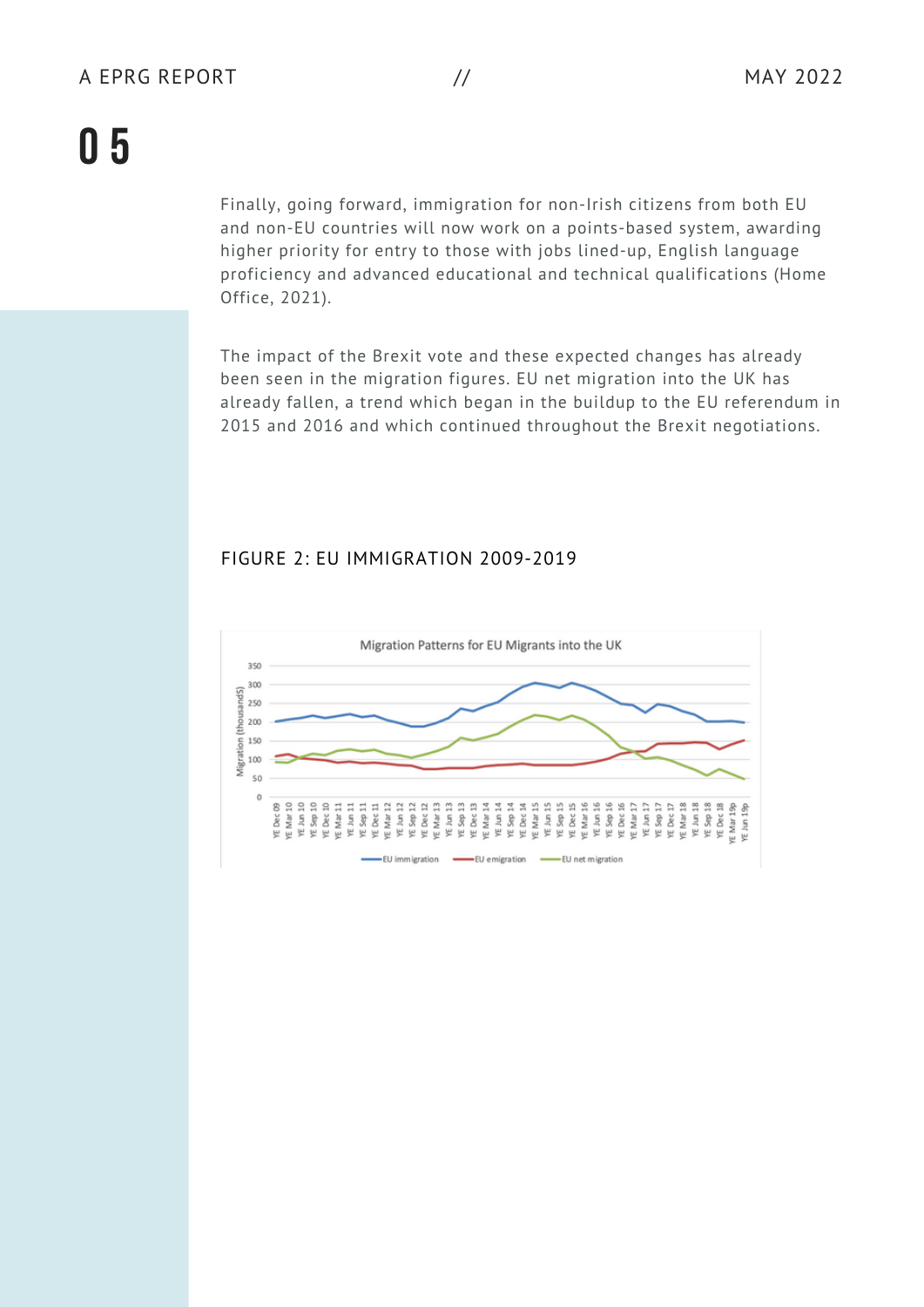Finally, going forward, immigration for non-Irish citizens from both EU and non-EU countries will now work on a points-based system, awarding higher priority for entry to those with jobs lined-up, English language proficiency and advanced educational and technical qualifications (Home Office, 2021).

The impact of the Brexit vote and these expected changes has already been seen in the migration figures. EU net migration into the UK has already fallen, a trend which began in the buildup to the EU referendum in 2015 and 2016 and which continued throughout the Brexit negotiations.

#### FIGURE 2: EU IMMIGRATION 2009-2019

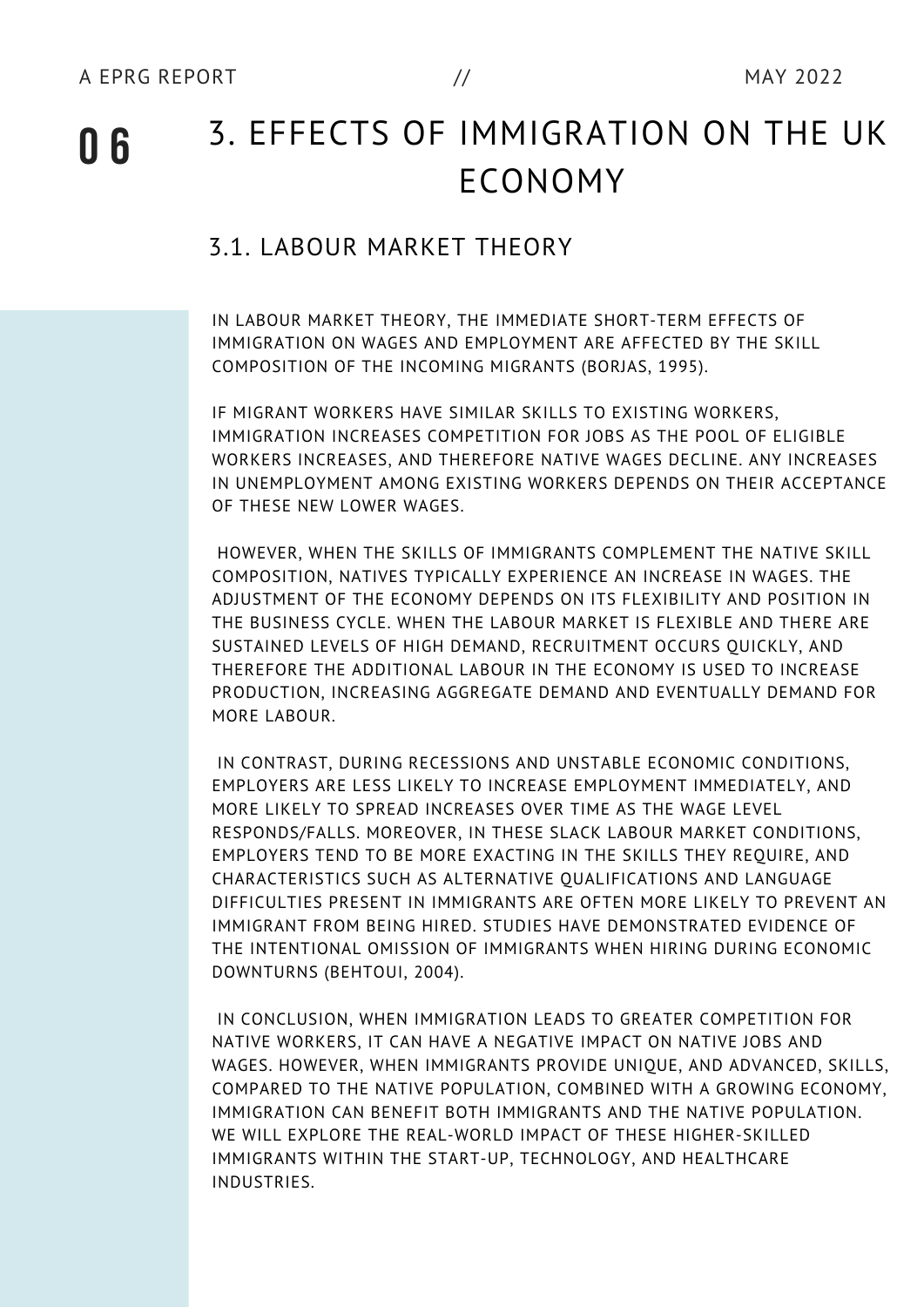#### 3. EFFECTS OF IMMIGRATION ON THE UK ECONOMY

#### 3.1. LABOUR MARKET THEORY

IN LABOUR MARKET THEORY, THE IMMEDIATE SHORT-TERM EFFECTS OF IMMIGRATION ON WAGES AND EMPLOYMENT ARE AFFECTED BY THE SKILL COMPOSITION OF THE INCOMING MIGRANTS (BORJAS, 1995).

IF MIGRANT WORKERS HAVE SIMILAR SKILLS TO EXISTING WORKERS, IMMIGRATION INCREASES COMPETITION FOR JOBS AS THE POOL OF ELIGIBLE WORKERS INCREASES, AND THEREFORE NATIVE WAGES DECLINE. ANY INCREASES IN UNEMPLOYMENT AMONG EXISTING WORKERS DEPENDS ON THEIR ACCEPTANCE OF THESE NEW LOWER WAGES.

HOWEVER, WHEN THE SKILLS OF IMMIGRANTS COMPLEMENT THE NATIVE SKILL COMPOSITION, NATIVES TYPICALLY EXPERIENCE AN INCREASE IN WAGES. THE ADJUSTMENT OF THE ECONOMY DEPENDS ON ITS FLEXIBILITY AND POSITION IN THE BUSINESS CYCLE. WHEN THE LABOUR MARKET IS FLEXIBLE AND THERE ARE SUSTAINED LEVELS OF HIGH DEMAND, RECRUITMENT OCCURS QUICKLY, AND THEREFORE THE ADDITIONAL LABOUR IN THE ECONOMY IS USED TO INCREASE PRODUCTION, INCREASING AGGREGATE DEMAND AND EVENTUALLY DEMAND FOR MORE LABOUR.

IN CONTRAST, DURING RECESSIONS AND UNSTABLE ECONOMIC CONDITIONS, EMPLOYERS ARE LESS LIKELY TO INCREASE EMPLOYMENT IMMEDIATELY, AND MORE LIKELY TO SPREAD INCREASES OVER TIME AS THE WAGE LEVEL RESPONDS/FALLS. MOREOVER, IN THESE SLACK LABOUR MARKET CONDITIONS, EMPLOYERS TEND TO BE MORE EXACTING IN THE SKILLS THEY REQUIRE, AND CHARACTERISTICS SUCH AS ALTERNATIVE QUALIFICATIONS AND LANGUAGE DIFFICULTIES PRESENT IN IMMIGRANTS ARE OFTEN MORE LIKELY TO PREVENT AN IMMIGRANT FROM BEING HIRED. STUDIES HAVE DEMONSTRATED EVIDENCE OF THE INTENTIONAL OMISSION OF IMMIGRANTS WHEN HIRING DURING ECONOMIC DOWNTURNS (BEHTOUI, 2004).

IN CONCLUSION, WHEN IMMIGRATION LEADS TO GREATER COMPETITION FOR NATIVE WORKERS, IT CAN HAVE A NEGATIVE IMPACT ON NATIVE JOBS AND WAGES. HOWEVER, WHEN IMMIGRANTS PROVIDE UNIQUE, AND ADVANCED, SKILLS, COMPARED TO THE NATIVE POPULATION, COMBINED WITH A GROWING ECONOMY, IMMIGRATION CAN BENEFIT BOTH IMMIGRANTS AND THE NATIVE POPULATION. WE WILL EXPLORE THE REAL-WORLD IMPACT OF THESE HIGHER-SKILLED IMMIGRANTS WITHIN THE START-UP, TECHNOLOGY, AND HEALTHCARE INDUSTRIES.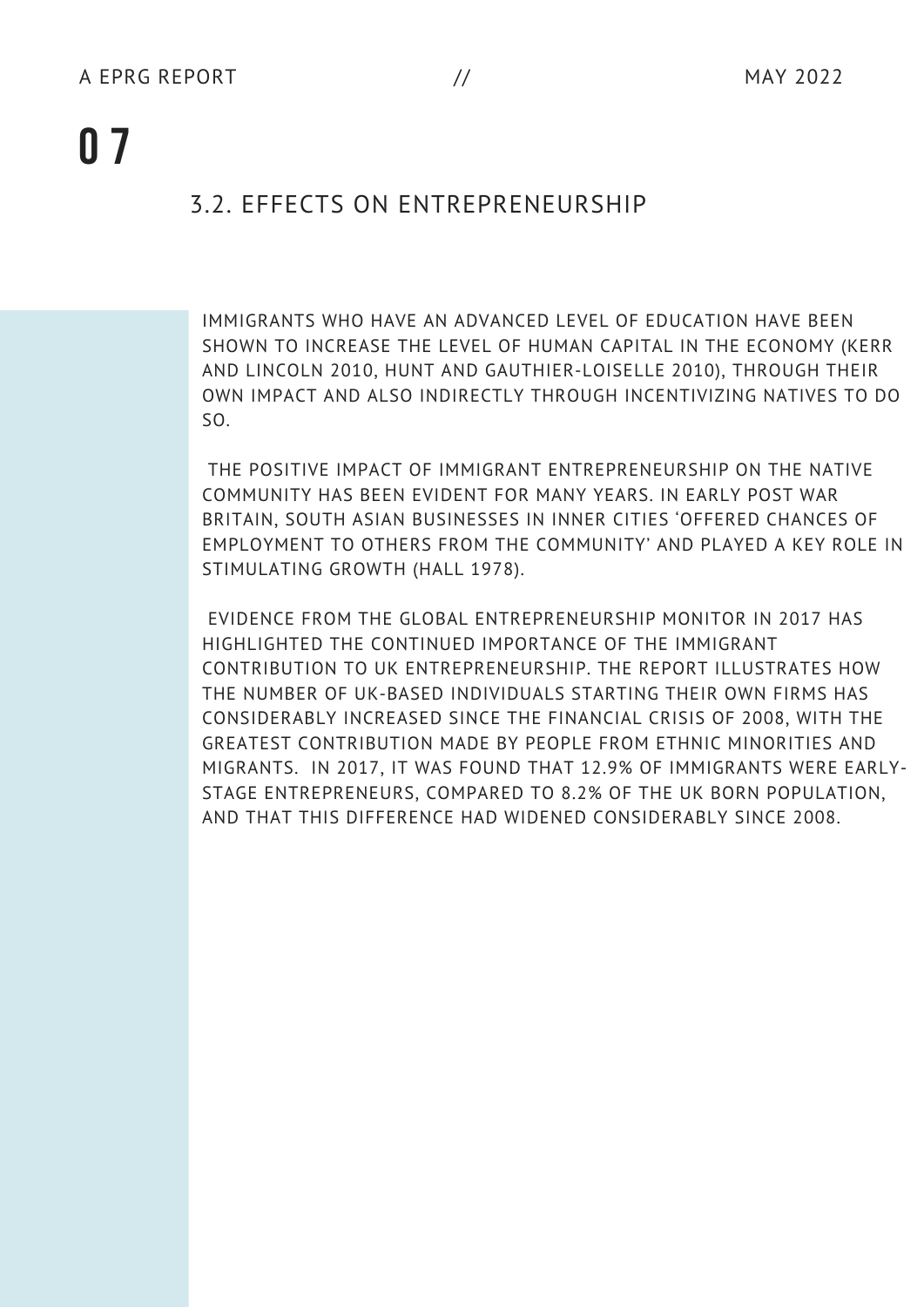#### 3.2. EFFECTS ON ENTREPRENEURSHIP

IMMIGRANTS WHO HAVE AN ADVANCED LEVEL OF EDUCATION HAVE BEEN SHOWN TO INCREASE THE LEVEL OF HUMAN CAPITAL IN THE ECONOMY (KERR AND LINCOLN 2010, HUNT AND GAUTHIER-LOISELLE 2010), THROUGH THEIR OWN IMPACT AND ALSO INDIRECTLY THROUGH INCENTIVIZING NATIVES TO DO SO.

THE POSITIVE IMPACT OF IMMIGRANT ENTREPRENEURSHIP ON THE NATIVE COMMUNITY HAS BEEN EVIDENT FOR MANY YEARS. IN EARLY POST WAR BRITAIN, SOUTH ASIAN BUSINESSES IN INNER CITIES 'OFFERED CHANCES OF EMPLOYMENT TO OTHERS FROM THE COMMUNITY' AND PLAYED A KEY ROLE IN STIMULATING GROWTH (HALL 1978).

EVIDENCE FROM THE GLOBAL ENTREPRENEURSHIP MONITOR IN 2017 HAS HIGHLIGHTED THE CONTINUED IMPORTANCE OF THE IMMIGRANT CONTRIBUTION TO UK ENTREPRENEURSHIP. THE REPORT ILLUSTRATES HOW THE NUMBER OF UK-BASED INDIVIDUALS STARTING THEIR OWN FIRMS HAS CONSIDERABLY INCREASED SINCE THE FINANCIAL CRISIS OF 2008, WITH THE GREATEST CONTRIBUTION MADE BY PEOPLE FROM ETHNIC MINORITIES AND MIGRANTS. IN 2017, IT WAS FOUND THAT 12.9% OF IMMIGRANTS WERE EARLY-STAGE ENTREPRENEURS, COMPARED TO 8.2% OF THE UK BORN POPULATION, AND THAT THIS DIFFERENCE HAD WIDENED CONSIDERABLY SINCE 2008.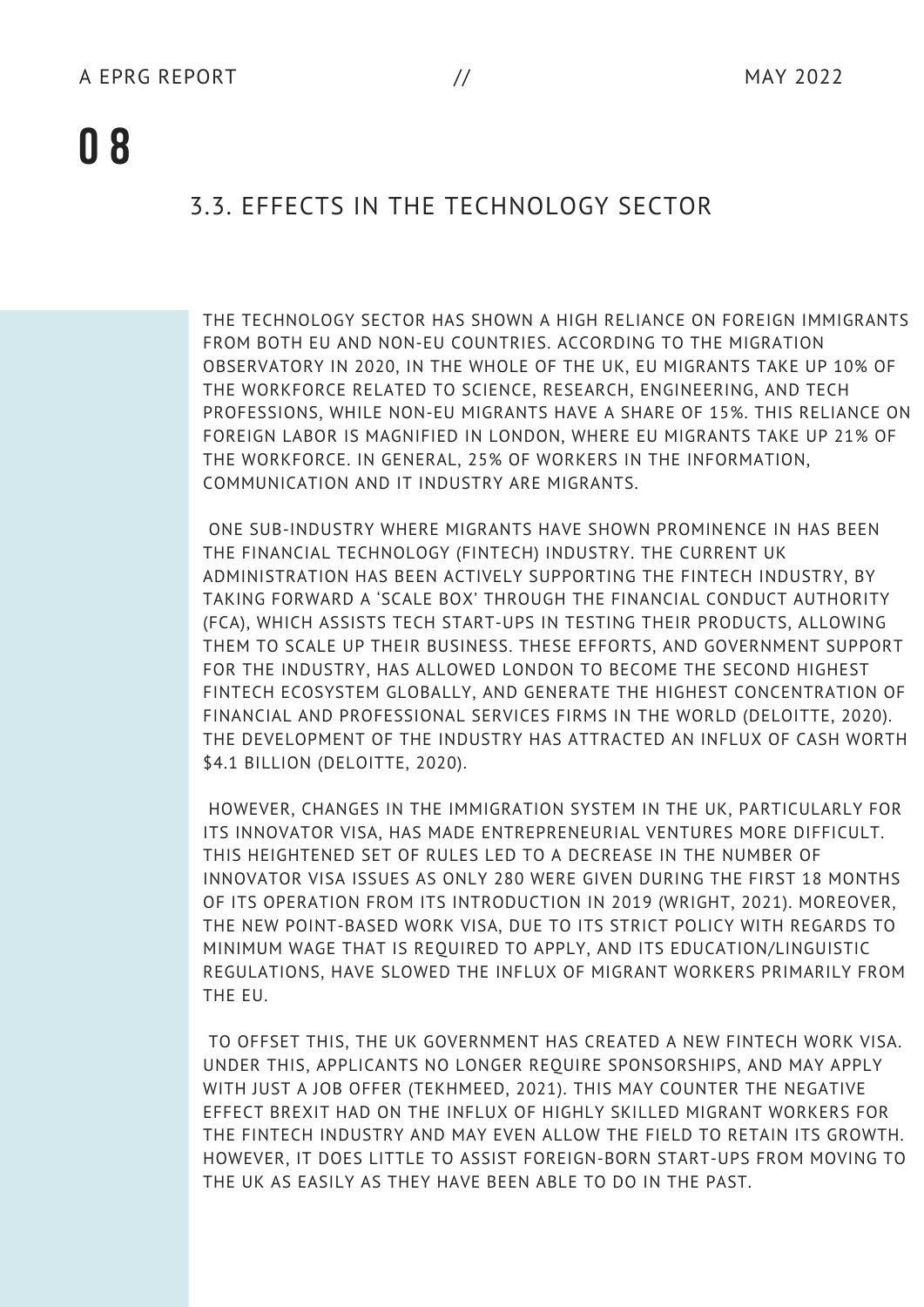#### 3.3. EFFECTS IN THE TECHNOLOGY SECTOR

THE TECHNOLOGY SECTOR HAS SHOWN A HIGH RELIANCE ON FOREIGN IMMIGRANTS FROM BOTH EU AND NON-EU COUNTRIES. ACCORDING TO THE MIGRATION OBSERVATORY IN 2020, IN THE WHOLE OF THE UK, EU MIGRANTS TAKE UP 10% OF THE WORKFORCE RELATED TO SCIENCE, RESEARCH, ENGINEERING, AND TECH PROFESSIONS, WHILE NON-EU MIGRANTS HAVE A SHARE OF 15%. THIS RELIANCE ON FOREIGN LABOR IS MAGNIFIED IN LONDON, WHERE EU MIGRANTS TAKE UP 21% OF THE WORKFORCE. IN GENERAL, 25% OF WORKERS IN THE INFORMATION, COMMUNICATION AND IT INDUSTRY ARE MIGRANTS.

ONE SUB-INDUSTRY WHERE MIGRANTS HAVE SHOWN PROMINENCE IN HAS BEEN THE FINANCIAL TECHNOLOGY (FINTECH) INDUSTRY. THE CURRENT UK ADMINISTRATION HAS BEEN ACTIVELY SUPPORTING THE FINTECH INDUSTRY, BY TAKING FORWARD A 'SCALE BOX' THROUGH THE FINANCIAL CONDUCT AUTHORITY (FCA), WHICH ASSISTS TECH START-UPS IN TESTING THEIR PRODUCTS, ALLOWING THEM TO SCALE UP THEIR BUSINESS. THESE EFFORTS, AND GOVERNMENT SUPPORT FOR THE INDUSTRY, HAS ALLOWED LONDON TO BECOME THE SECOND HIGHEST FINTECH ECOSYSTEM GLOBALLY, AND GENERATE THE HIGHEST CONCENTRATION OF FINANCIAL AND PROFESSIONAL SERVICES FIRMS IN THE WORLD (DELOITTE, 2020). THE DEVELOPMENT OF THE INDUSTRY HAS ATTRACTED AN INFLUX OF CASH WORTH \$4.1 BILLION (DELOITTE, 2020).

HOWEVER, CHANGES IN THE IMMIGRATION SYSTEM IN THE UK, PARTICULARLY FOR ITS INNOVATOR VISA, HAS MADE ENTREPRENEURIAL VENTURES MORE DIFFICULT. THIS HEIGHTENED SET OF RULES LED TO A DECREASE IN THE NUMBER OF INNOVATOR VISA ISSUES AS ONLY 280 WERE GIVEN DURING THE FIRST 18 MONTHS OF ITS OPERATION FROM ITS INTRODUCTION IN 2019 (WRIGHT, 2021). MOREOVER, THE NEW POINT-BASED WORK VISA, DUE TO ITS STRICT POLICY WITH REGARDS TO MINIMUM WAGE THAT IS REQUIRED TO APPLY, AND ITS EDUCATION/LINGUISTIC REGULATIONS, HAVE SLOWED THE INFLUX OF MIGRANT WORKERS PRIMARILY FROM THE EU.

TO OFFSET THIS, THE UK GOVERNMENT HAS CREATED A NEW FINTECH WORK VISA. UNDER THIS, APPLICANTS NO LONGER REQUIRE SPONSORSHIPS, AND MAY APPLY WITH JUST A JOB OFFER (TEKHMEED, 2021). THIS MAY COUNTER THE NEGATIVE EFFECT BREXIT HAD ON THE INFLUX OF HIGHLY SKILLED MIGRANT WORKERS FOR THE FINTECH INDUSTRY AND MAY EVEN ALLOW THE FIELD TO RETAIN ITS GROWTH. HOWEVER, IT DOES LITTLE TO ASSIST FOREIGN-BORN START-UPS FROM MOVING TO THE UK AS EASILY AS THEY HAVE BEEN ABLE TO DO IN THE PAST.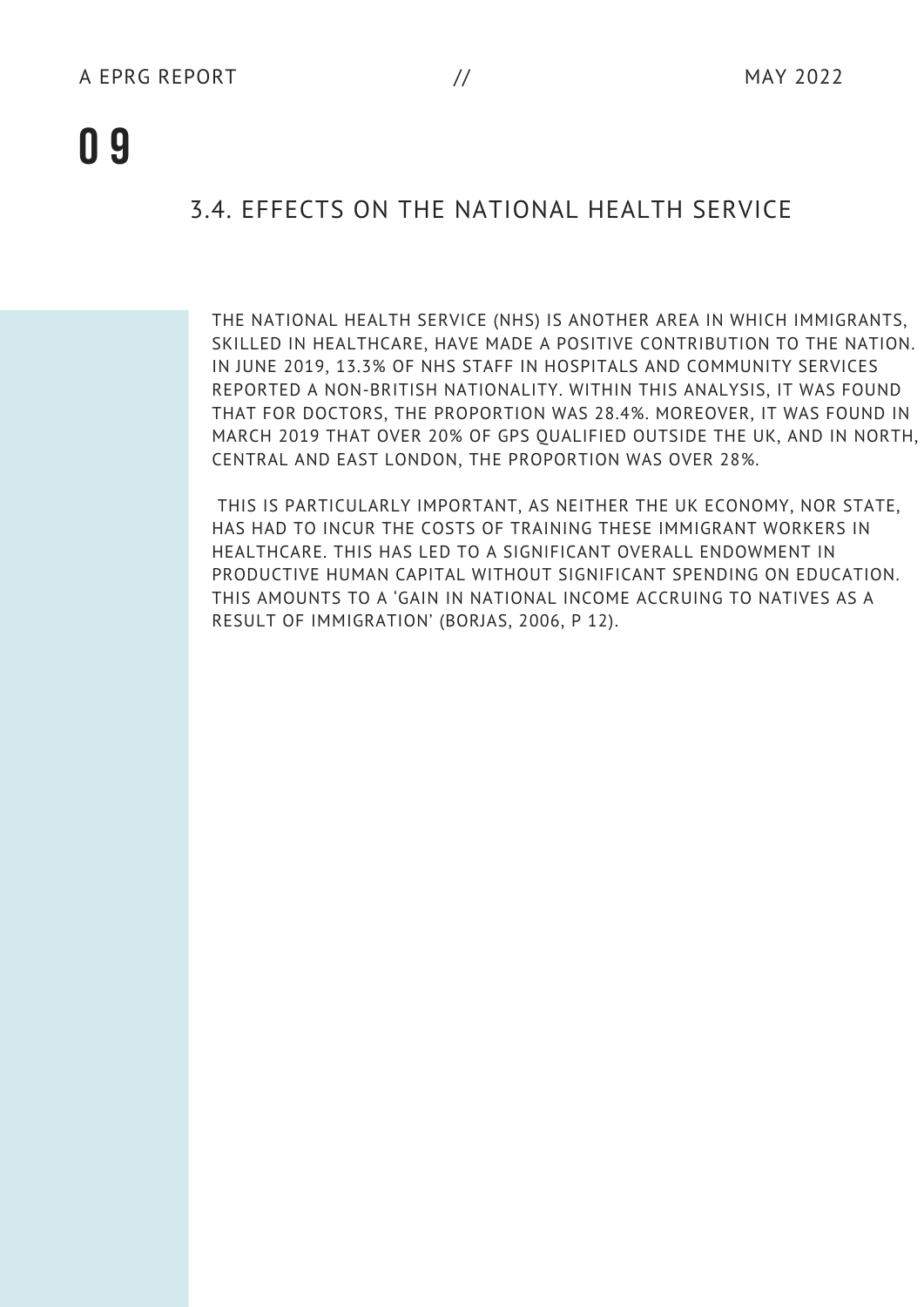#### 3.4. EFFECTS ON THE NATIONAL HEALTH SERVICE

THE NATIONAL HEALTH SERVICE (NHS) IS ANOTHER AREA IN WHICH IMMIGRANTS, SKILLED IN HEALTHCARE, HAVE MADE A POSITIVE CONTRIBUTION TO THE NATION. IN JUNE 2019, 13.3% OF NHS STAFF IN HOSPITALS AND COMMUNITY SERVICES REPORTED A NON-BRITISH NATIONALITY. WITHIN THIS ANALYSIS, IT WAS FOUND THAT FOR DOCTORS, THE PROPORTION WAS 28.4%. MOREOVER, IT WAS FOUND IN MARCH 2019 THAT OVER 20% OF GPS QUALIFIED OUTSIDE THE UK, AND IN NORTH, CENTRAL AND EAST LONDON, THE PROPORTION WAS OVER 28%.

THIS IS PARTICULARLY IMPORTANT, AS NEITHER THE UK ECONOMY, NOR STATE, HAS HAD TO INCUR THE COSTS OF TRAINING THESE IMMIGRANT WORKERS IN HEALTHCARE. THIS HAS LED TO A SIGNIFICANT OVERALL ENDOWMENT IN PRODUCTIVE HUMAN CAPITAL WITHOUT SIGNIFICANT SPENDING ON EDUCATION. THIS AMOUNTS TO A 'GAIN IN NATIONAL INCOME ACCRUING TO NATIVES AS A RESULT OF IMMIGRATION' (BORJAS, 2006, P 12).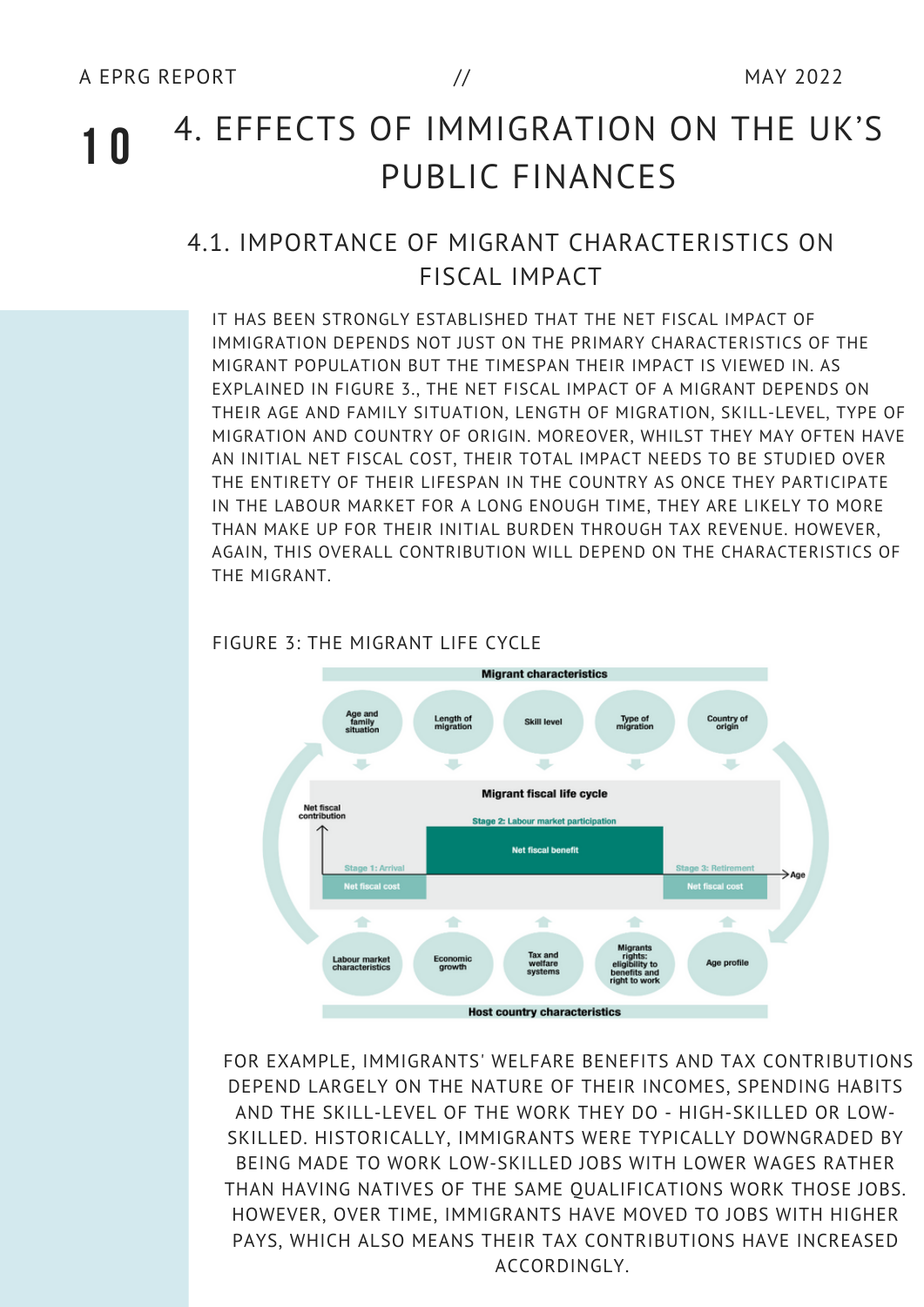#### **1 0** 4. EFFECTS OF IMMIGRATION ON THE UK'S PUBLIC FINANCES

#### 4.1. IMPORTANCE OF MIGRANT CHARACTERISTICS ON FISCAL IMPACT

IT HAS BEEN STRONGLY ESTABLISHED THAT THE NET FISCAL IMPACT OF IMMIGRATION DEPENDS NOT JUST ON THE PRIMARY CHARACTERISTICS OF THE MIGRANT POPULATION BUT THE TIMESPAN THEIR IMPACT IS VIEWED IN. AS EXPLAINED IN FIGURE 3., THE NET FISCAL IMPACT OF A MIGRANT DEPENDS ON THEIR AGE AND FAMILY SITUATION, LENGTH OF MIGRATION, SKILL-LEVEL, TYPE OF MIGRATION AND COUNTRY OF ORIGIN. MOREOVER, WHILST THEY MAY OFTEN HAVE AN INITIAL NET FISCAL COST, THEIR TOTAL IMPACT NEEDS TO BE STUDIED OVER THE ENTIRETY OF THEIR LIFESPAN IN THE COUNTRY AS ONCE THEY PARTICIPATE IN THE LABOUR MARKET FOR A LONG ENOUGH TIME, THEY ARE LIKELY TO MORE THAN MAKE UP FOR THEIR INITIAL BURDEN THROUGH TAX REVENUE. HOWEVER, AGAIN, THIS OVERALL CONTRIBUTION WILL DEPEND ON THE CHARACTERISTICS OF THE MIGRANT.



#### FIGURE 3: THE MIGRANT LIFE CYCLE

FOR EXAMPLE, IMMIGRANTS' WELFARE BENEFITS AND TAX CONTRIBUTIONS DEPEND LARGELY ON THE NATURE OF THEIR INCOMES, SPENDING HABITS AND THE SKILL-LEVEL OF THE WORK THEY DO - HIGH-SKILLED OR LOW-SKILLED. HISTORICALLY, IMMIGRANTS WERE TYPICALLY DOWNGRADED BY BEING MADE TO WORK LOW-SKILLED JOBS WITH LOWER WAGES RATHER THAN HAVING NATIVES OF THE SAME QUALIFICATIONS WORK THOSE JOBS. HOWEVER, OVER TIME, IMMIGRANTS HAVE MOVED TO JOBS WITH HIGHER PAYS, WHICH ALSO MEANS THEIR TAX CONTRIBUTIONS HAVE INCREASED ACCORDINGLY.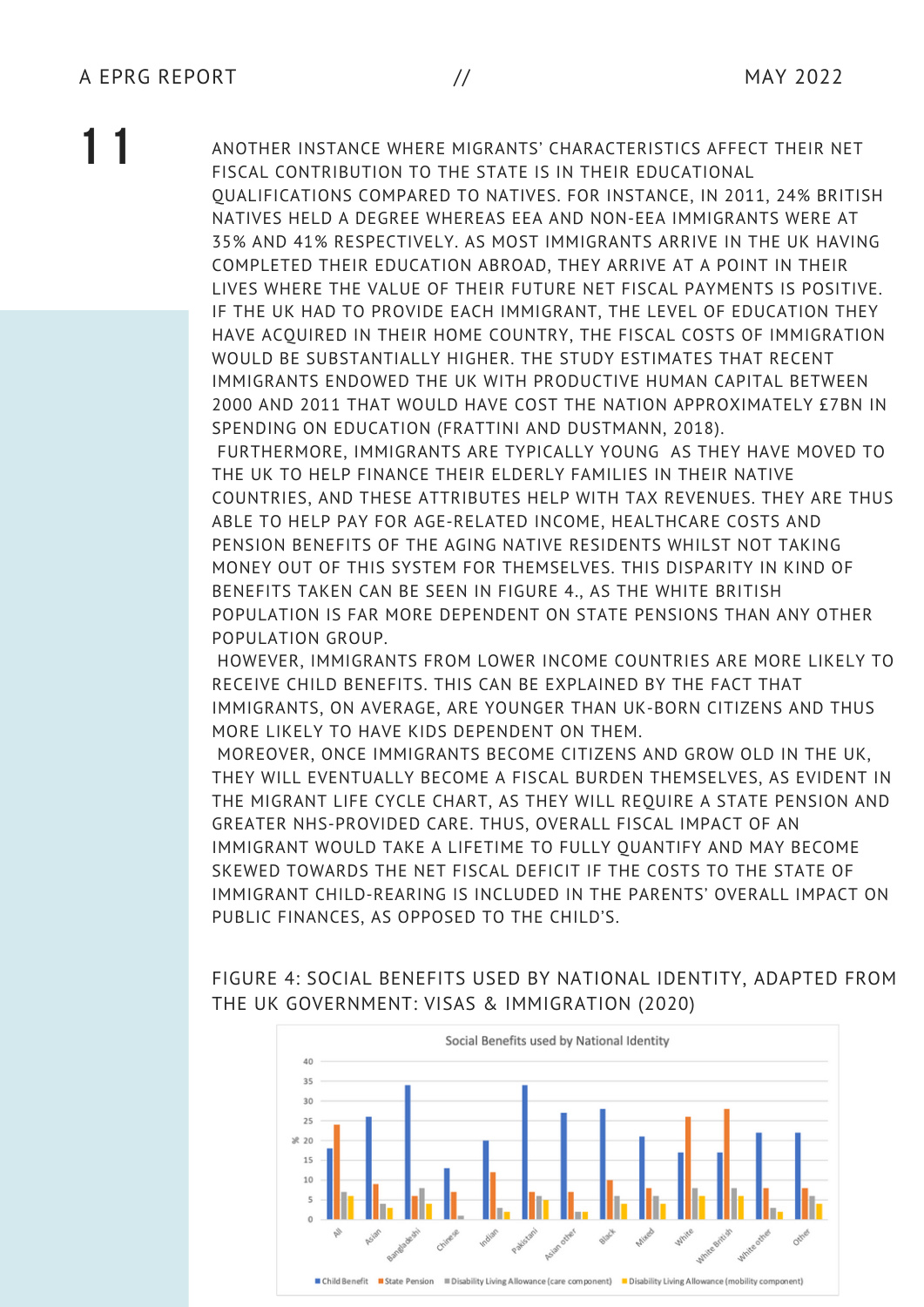**1 1** ANOTHER INSTANCE WHERE MIGRANTS' CHARACTERISTICS AFFECT THEIR NET FISCAL CONTRIBUTION TO THE STATE IS IN THEIR EDUCATIONAL QUALIFICATIONS COMPARED TO NATIVES. FOR INSTANCE, IN 2011, 24% BRITISH NATIVES HELD A DEGREE WHEREAS EEA AND NON-EEA IMMIGRANTS WERE AT 35% AND 41% RESPECTIVELY. AS MOST IMMIGRANTS ARRIVE IN THE UK HAVING COMPLETED THEIR EDUCATION ABROAD, THEY ARRIVE AT A POINT IN THEIR LIVES WHERE THE VALUE OF THEIR FUTURE NET FISCAL PAYMENTS IS POSITIVE. IF THE UK HAD TO PROVIDE EACH IMMIGRANT, THE LEVEL OF EDUCATION THEY HAVE ACQUIRED IN THEIR HOME COUNTRY, THE FISCAL COSTS OF IMMIGRATION WOULD BE SUBSTANTIALLY HIGHER. THE STUDY ESTIMATES THAT RECENT IMMIGRANTS ENDOWED THE UK WITH PRODUCTIVE HUMAN CAPITAL BETWEEN 2000 AND 2011 THAT WOULD HAVE COST THE NATION APPROXIMATELY £7BN IN SPENDING ON EDUCATION (FRATTINI AND DUSTMANN, 2018). FURTHERMORE, IMMIGRANTS ARE TYPICALLY YOUNG AS THEY HAVE MOVED TO

THE UK TO HELP FINANCE THEIR ELDERLY FAMILIES IN THEIR NATIVE COUNTRIES, AND THESE ATTRIBUTES HELP WITH TAX REVENUES. THEY ARE THUS ABLE TO HELP PAY FOR AGE-RELATED INCOME, HEALTHCARE COSTS AND PENSION BENEFITS OF THE AGING NATIVE RESIDENTS WHILST NOT TAKING MONEY OUT OF THIS SYSTEM FOR THEMSELVES. THIS DISPARITY IN KIND OF BENEFITS TAKEN CAN BE SEEN IN FIGURE 4., AS THE WHITE BRITISH POPULATION IS FAR MORE DEPENDENT ON STATE PENSIONS THAN ANY OTHER POPULATION GROUP.

HOWEVER, IMMIGRANTS FROM LOWER INCOME COUNTRIES ARE MORE LIKELY TO RECEIVE CHILD BENEFITS. THIS CAN BE EXPLAINED BY THE FACT THAT IMMIGRANTS, ON AVERAGE, ARE YOUNGER THAN UK-BORN CITIZENS AND THUS MORE LIKELY TO HAVE KIDS DEPENDENT ON THEM.

MOREOVER, ONCE IMMIGRANTS BECOME CITIZENS AND GROW OLD IN THE UK, THEY WILL EVENTUALLY BECOME A FISCAL BURDEN THEMSELVES, AS EVIDENT IN THE MIGRANT LIFE CYCLE CHART, AS THEY WILL REQUIRE A STATE PENSION AND GREATER NHS-PROVIDED CARE. THUS, OVERALL FISCAL IMPACT OF AN IMMIGRANT WOULD TAKE A LIFETIME TO FULLY QUANTIFY AND MAY BECOME SKEWED TOWARDS THE NET FISCAL DEFICIT IF THE COSTS TO THE STATE OF IMMIGRANT CHILD-REARING IS INCLUDED IN THE PARENTS' OVERALL IMPACT ON PUBLIC FINANCES, AS OPPOSED TO THE CHILD'S.

FIGURE 4: SOCIAL BENEFITS USED BY NATIONAL IDENTITY, ADAPTED FROM THE UK GOVERNMENT: VISAS & IMMIGRATION (2020)

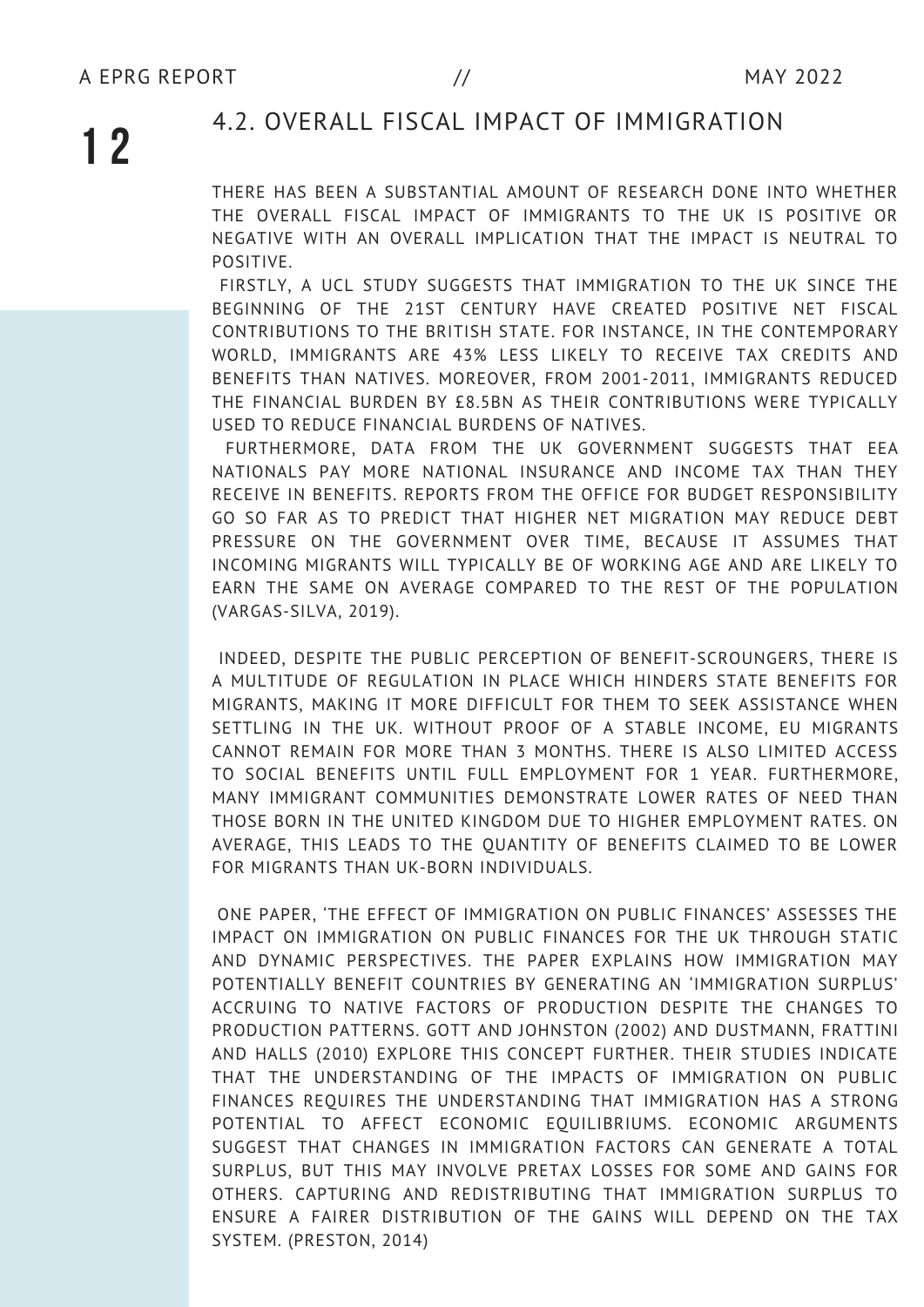#### 4.2. OVERALL FISCAL IMPACT OF IMMIGRATION

THERE HAS BEEN A SUBSTANTIAL AMOUNT OF RESEARCH DONE INTO WHETHER THE OVERALL FISCAL IMPACT OF IMMIGRANTS TO THE UK IS POSITIVE OR NEGATIVE WITH AN OVERALL IMPLICATION THAT THE IMPACT IS NEUTRAL TO POSITIVE.

FIRSTLY, A UCL STUDY SUGGESTS THAT IMMIGRATION TO THE UK SINCE THE BEGINNING OF THE 21ST CENTURY HAVE CREATED POSITIVE NET FISCAL CONTRIBUTIONS TO THE BRITISH STATE. FOR INSTANCE, IN THE CONTEMPORARY WORLD, IMMIGRANTS ARE 43% LESS LIKELY TO RECEIVE TAX CREDITS AND BENEFITS THAN NATIVES. MOREOVER, FROM 2001-2011, IMMIGRANTS REDUCED THE FINANCIAL BURDEN BY £8.5BN AS THEIR CONTRIBUTIONS WERE TYPICALLY USED TO REDUCE FINANCIAL BURDENS OF NATIVES.

FURTHERMORE, DATA FROM THE UK GOVERNMENT SUGGESTS THAT EEA NATIONALS PAY MORE NATIONAL INSURANCE AND INCOME TAX THAN THEY RECEIVE IN BENEFITS. REPORTS FROM THE OFFICE FOR BUDGET RESPONSIBILITY GO SO FAR AS TO PREDICT THAT HIGHER NET MIGRATION MAY REDUCE DEBT PRESSURE ON THE GOVERNMENT OVER TIME, BECAUSE IT ASSUMES THAT INCOMING MIGRANTS WILL TYPICALLY BE OF WORKING AGE AND ARE LIKELY TO EARN THE SAME ON AVERAGE COMPARED TO THE REST OF THE POPULATION (VARGAS-SILVA, 2019).

INDEED, DESPITE THE PUBLIC PERCEPTION OF BENEFIT-SCROUNGERS, THERE IS A MULTITUDE OF REGULATION IN PLACE WHICH HINDERS STATE BENEFITS FOR MIGRANTS, MAKING IT MORE DIFFICULT FOR THEM TO SEEK ASSISTANCE WHEN SETTLING IN THE UK. WITHOUT PROOF OF A STABLE INCOME, EU MIGRANTS CANNOT REMAIN FOR MORE THAN 3 MONTHS. THERE IS ALSO LIMITED ACCESS TO SOCIAL BENEFITS UNTIL FULL EMPLOYMENT FOR 1 YEAR. FURTHERMORE, MANY IMMIGRANT COMMUNITIES DEMONSTRATE LOWER RATES OF NEED THAN THOSE BORN IN THE UNITED KINGDOM DUE TO HIGHER EMPLOYMENT RATES. ON AVERAGE, THIS LEADS TO THE QUANTITY OF BENEFITS CLAIMED TO BE LOWER FOR MIGRANTS THAN UK-BORN INDIVIDUALS.

ONE PAPER, 'THE EFFECT OF IMMIGRATION ON PUBLIC FINANCES' ASSESSES THE IMPACT ON IMMIGRATION ON PUBLIC FINANCES FOR THE UK THROUGH STATIC AND DYNAMIC PERSPECTIVES. THE PAPER EXPLAINS HOW IMMIGRATION MAY POTENTIALLY BENEFIT COUNTRIES BY GENERATING AN 'IMMIGRATION SURPLUS' ACCRUING TO NATIVE FACTORS OF PRODUCTION DESPITE THE CHANGES TO PRODUCTION PATTERNS. GOTT AND JOHNSTON (2002) AND DUSTMANN, FRATTINI AND HALLS (2010) EXPLORE THIS CONCEPT FURTHER. THEIR STUDIES INDICATE THAT THE UNDERSTANDING OF THE IMPACTS OF IMMIGRATION ON PUBLIC FINANCES REQUIRES THE UNDERSTANDING THAT IMMIGRATION HAS A STRONG POTENTIAL TO AFFECT ECONOMIC EQUILIBRIUMS. ECONOMIC ARGUMENTS SUGGEST THAT CHANGES IN IMMIGRATION FACTORS CAN GENERATE A TOTAL SURPLUS, BUT THIS MAY INVOLVE PRETAX LOSSES FOR SOME AND GAINS FOR OTHERS. CAPTURING AND REDISTRIBUTING THAT IMMIGRATION SURPLUS TO ENSURE A FAIRER DISTRIBUTION OF THE GAINS WILL DEPEND ON THE TAX SYSTEM. (PRESTON, 2014)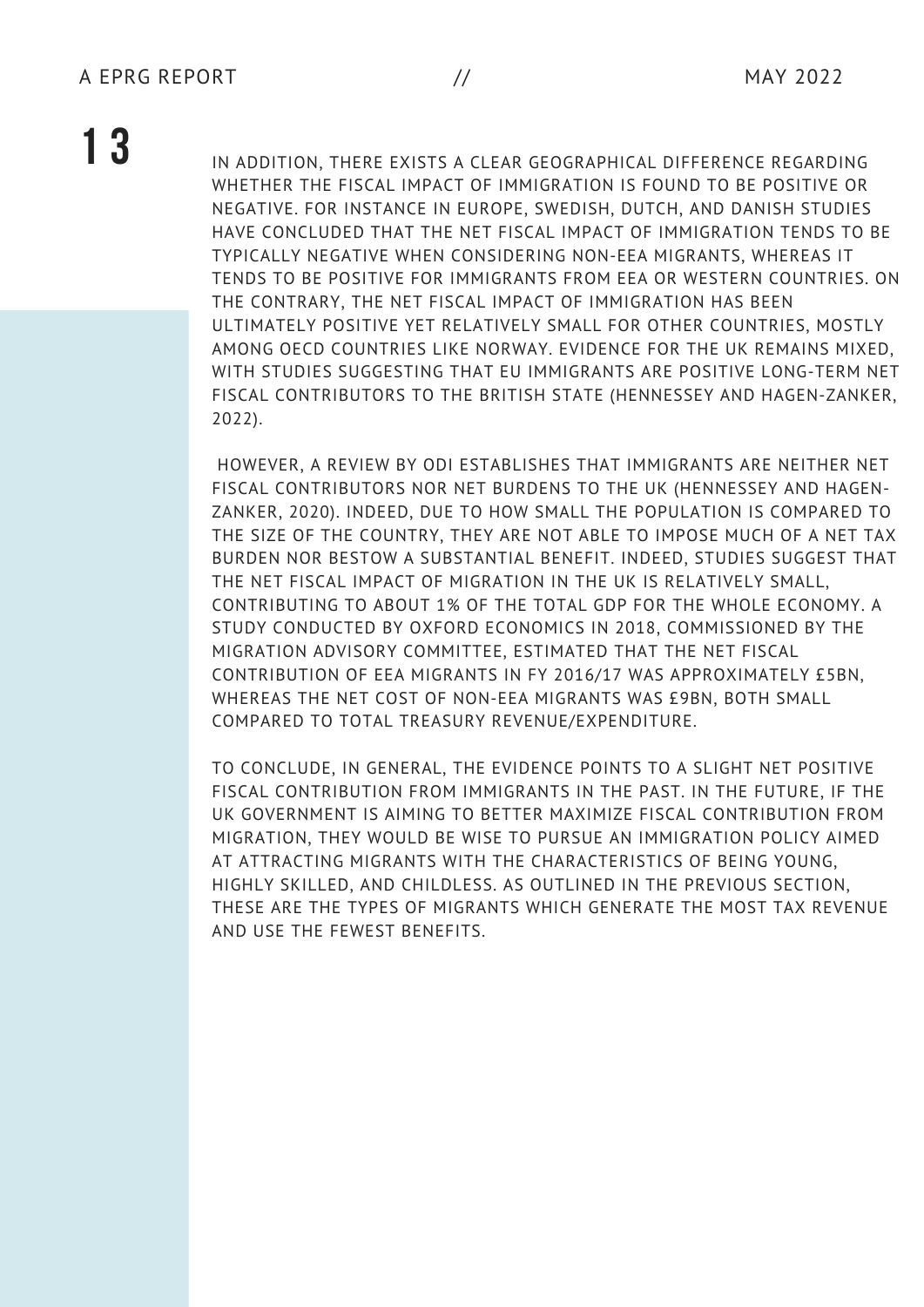**1 3** IN ADDITION, THERE EXISTS A CLEAR GEOGRAPHICAL DIFFERENCE REGARDING WHETHER THE FISCAL IMPACT OF IMMIGRATION IS FOUND TO BE POSITIVE OR NEGATIVE. FOR INSTANCE IN EUROPE, SWEDISH, DUTCH, AND DANISH STUDIES HAVE CONCLUDED THAT THE NET FISCAL IMPACT OF IMMIGRATION TENDS TO BE TYPICALLY NEGATIVE WHEN CONSIDERING NON-EEA MIGRANTS, WHEREAS IT TENDS TO BE POSITIVE FOR IMMIGRANTS FROM EEA OR WESTERN COUNTRIES. ON THE CONTRARY, THE NET FISCAL IMPACT OF IMMIGRATION HAS BEEN ULTIMATELY POSITIVE YET RELATIVELY SMALL FOR OTHER COUNTRIES, MOSTLY AMONG OECD COUNTRIES LIKE NORWAY. EVIDENCE FOR THE UK REMAINS MIXED, WITH STUDIES SUGGESTING THAT EU IMMIGRANTS ARE POSITIVE LONG-TERM NET FISCAL CONTRIBUTORS TO THE BRITISH STATE (HENNESSEY AND HAGEN-ZANKER, 2022).

> HOWEVER, A REVIEW BY ODI ESTABLISHES THAT IMMIGRANTS ARE NEITHER NET FISCAL CONTRIBUTORS NOR NET BURDENS TO THE UK (HENNESSEY AND HAGEN-ZANKER, 2020). INDEED, DUE TO HOW SMALL THE POPULATION IS COMPARED TO THE SIZE OF THE COUNTRY, THEY ARE NOT ABLE TO IMPOSE MUCH OF A NET TAX BURDEN NOR BESTOW A SUBSTANTIAL BENEFIT. INDEED, STUDIES SUGGEST THAT THE NET FISCAL IMPACT OF MIGRATION IN THE UK IS RELATIVELY SMALL, CONTRIBUTING TO ABOUT 1% OF THE TOTAL GDP FOR THE WHOLE ECONOMY. A STUDY CONDUCTED BY OXFORD ECONOMICS IN 2018, COMMISSIONED BY THE MIGRATION ADVISORY COMMITTEE, ESTIMATED THAT THE NET FISCAL CONTRIBUTION OF EEA MIGRANTS IN FY 2016/17 WAS APPROXIMATELY £5BN, WHEREAS THE NET COST OF NON-EEA MIGRANTS WAS £9BN, BOTH SMALL COMPARED TO TOTAL TREASURY REVENUE/EXPENDITURE.

> TO CONCLUDE, IN GENERAL, THE EVIDENCE POINTS TO A SLIGHT NET POSITIVE FISCAL CONTRIBUTION FROM IMMIGRANTS IN THE PAST. IN THE FUTURE, IF THE UK GOVERNMENT IS AIMING TO BETTER MAXIMIZE FISCAL CONTRIBUTION FROM MIGRATION, THEY WOULD BE WISE TO PURSUE AN IMMIGRATION POLICY AIMED AT ATTRACTING MIGRANTS WITH THE CHARACTERISTICS OF BEING YOUNG, HIGHLY SKILLED, AND CHILDLESS. AS OUTLINED IN THE PREVIOUS SECTION, THESE ARE THE TYPES OF MIGRANTS WHICH GENERATE THE MOST TAX REVENUE AND USE THE FEWEST BENEFITS.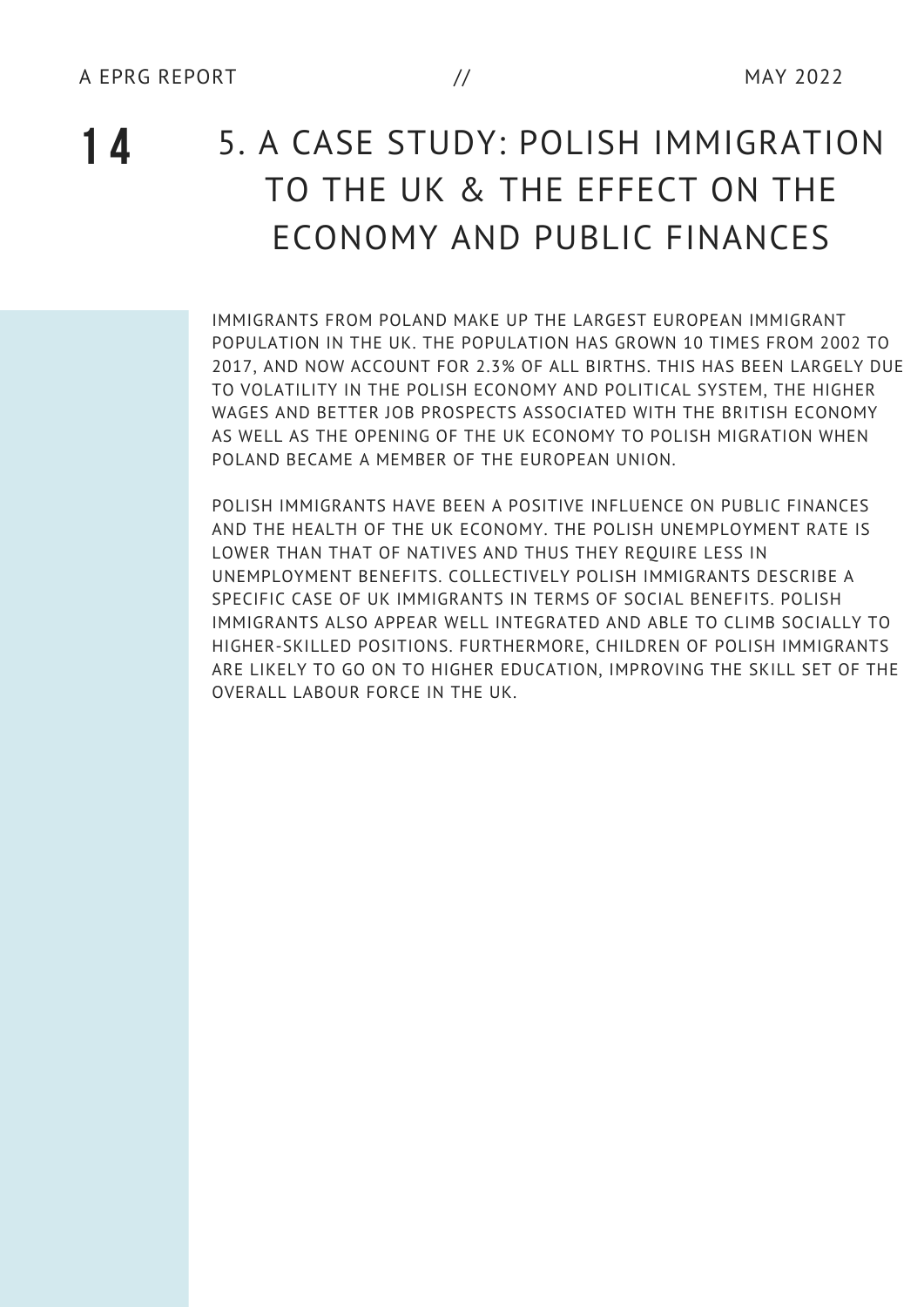### **1 4** 5. <sup>A</sup> CASE STUDY: POLISH IMMIGRATION TO THE UK & THE EFFECT ON THE ECONOMY AND PUBLIC FINANCES

IMMIGRANTS FROM POLAND MAKE UP THE LARGEST EUROPEAN IMMIGRANT POPULATION IN THE UK. THE POPULATION HAS GROWN 10 TIMES FROM 2002 TO 2017, AND NOW ACCOUNT FOR 2.3% OF ALL BIRTHS. THIS HAS BEEN LARGELY DUE TO VOLATILITY IN THE POLISH ECONOMY AND POLITICAL SYSTEM, THE HIGHER WAGES AND BETTER JOB PROSPECTS ASSOCIATED WITH THE BRITISH ECONOMY AS WELL AS THE OPENING OF THE UK ECONOMY TO POLISH MIGRATION WHEN POLAND BECAME A MEMBER OF THE EUROPEAN UNION.

POLISH IMMIGRANTS HAVE BEEN A POSITIVE INFLUENCE ON PUBLIC FINANCES AND THE HEALTH OF THE UK ECONOMY. THE POLISH UNEMPLOYMENT RATE IS LOWER THAN THAT OF NATIVES AND THUS THEY REQUIRE LESS IN UNEMPLOYMENT BENEFITS. COLLECTIVELY POLISH IMMIGRANTS DESCRIBE A SPECIFIC CASE OF UK IMMIGRANTS IN TERMS OF SOCIAL BENEFITS. POLISH IMMIGRANTS ALSO APPEAR WELL INTEGRATED AND ABLE TO CLIMB SOCIALLY TO HIGHER-SKILLED POSITIONS. FURTHERMORE, CHILDREN OF POLISH IMMIGRANTS ARE LIKELY TO GO ON TO HIGHER EDUCATION, IMPROVING THE SKILL SET OF THE OVERALL LABOUR FORCE IN THE UK.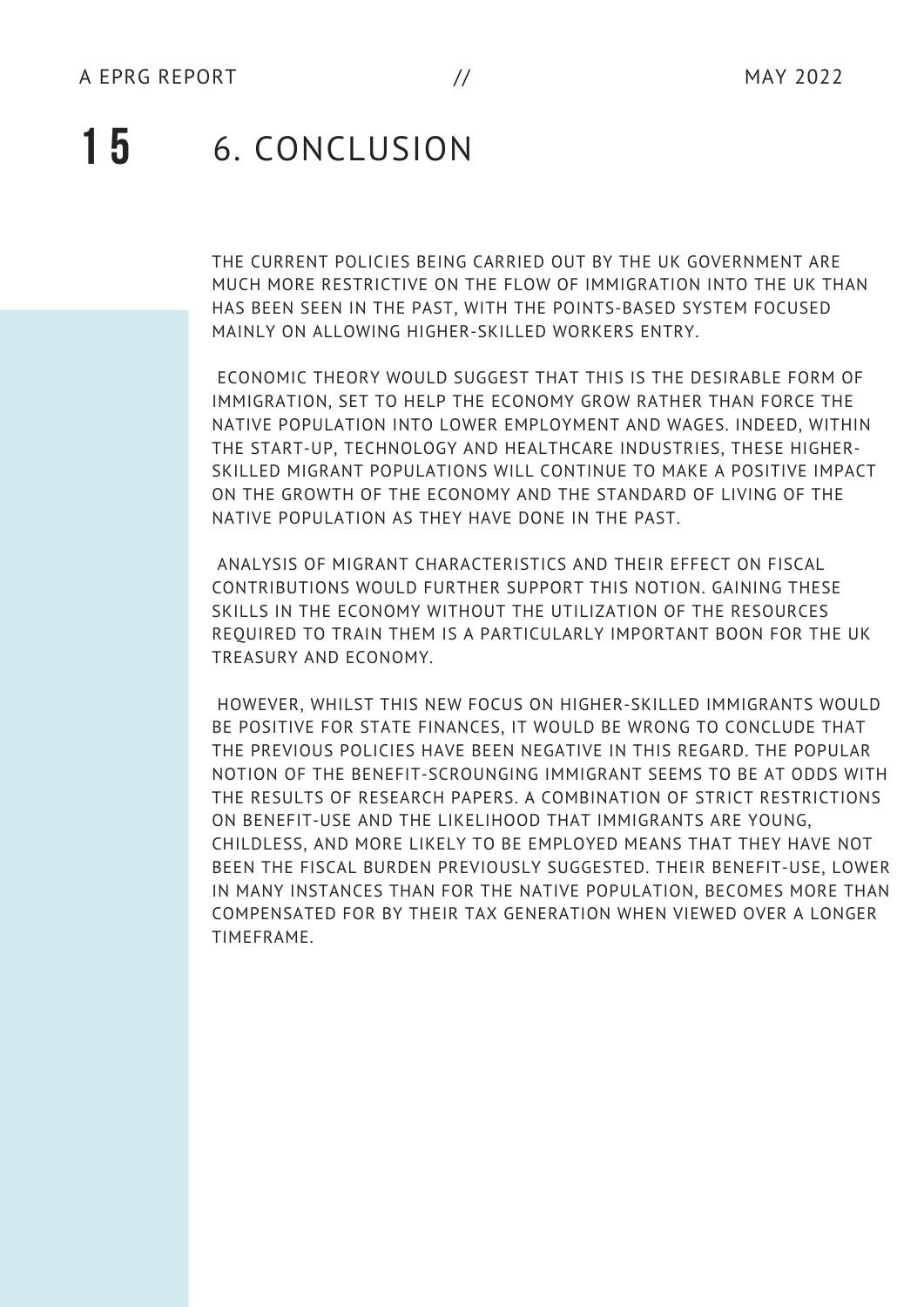### **1 5** 6. CONCLUSION

THE CURRENT POLICIES BEING CARRIED OUT BY THE UK GOVERNMENT ARE MUCH MORE RESTRICTIVE ON THE FLOW OF IMMIGRATION INTO THE UK THAN HAS BEEN SEEN IN THE PAST, WITH THE POINTS-BASED SYSTEM FOCUSED MAINLY ON ALLOWING HIGHER-SKILLED WORKERS ENTRY.

ECONOMIC THEORY WOULD SUGGEST THAT THIS IS THE DESIRABLE FORM OF IMMIGRATION, SET TO HELP THE ECONOMY GROW RATHER THAN FORCE THE NATIVE POPULATION INTO LOWER EMPLOYMENT AND WAGES. INDEED, WITHIN THE START-UP, TECHNOLOGY AND HEALTHCARE INDUSTRIES, THESE HIGHER-SKILLED MIGRANT POPULATIONS WILL CONTINUE TO MAKE A POSITIVE IMPACT ON THE GROWTH OF THE ECONOMY AND THE STANDARD OF LIVING OF THE NATIVE POPULATION AS THEY HAVE DONE IN THE PAST.

ANALYSIS OF MIGRANT CHARACTERISTICS AND THEIR EFFECT ON FISCAL CONTRIBUTIONS WOULD FURTHER SUPPORT THIS NOTION. GAINING THESE SKILLS IN THE ECONOMY WITHOUT THE UTILIZATION OF THE RESOURCES REQUIRED TO TRAIN THEM IS A PARTICULARLY IMPORTANT BOON FOR THE UK TREASURY AND ECONOMY.

HOWEVER, WHILST THIS NEW FOCUS ON HIGHER-SKILLED IMMIGRANTS WOULD BE POSITIVE FOR STATE FINANCES, IT WOULD BE WRONG TO CONCLUDE THAT THE PREVIOUS POLICIES HAVE BEEN NEGATIVE IN THIS REGARD. THE POPULAR NOTION OF THE BENEFIT-SCROUNGING IMMIGRANT SEEMS TO BE AT ODDS WITH THE RESULTS OF RESEARCH PAPERS. A COMBINATION OF STRICT RESTRICTIONS ON BENEFIT-USE AND THE LIKELIHOOD THAT IMMIGRANTS ARE YOUNG, CHILDLESS, AND MORE LIKELY TO BE EMPLOYED MEANS THAT THEY HAVE NOT BEEN THE FISCAL BURDEN PREVIOUSLY SUGGESTED. THEIR BENEFIT-USE, LOWER IN MANY INSTANCES THAN FOR THE NATIVE POPULATION, BECOMES MORE THAN COMPENSATED FOR BY THEIR TAX GENERATION WHEN VIEWED OVER A LONGER TIMEFRAME.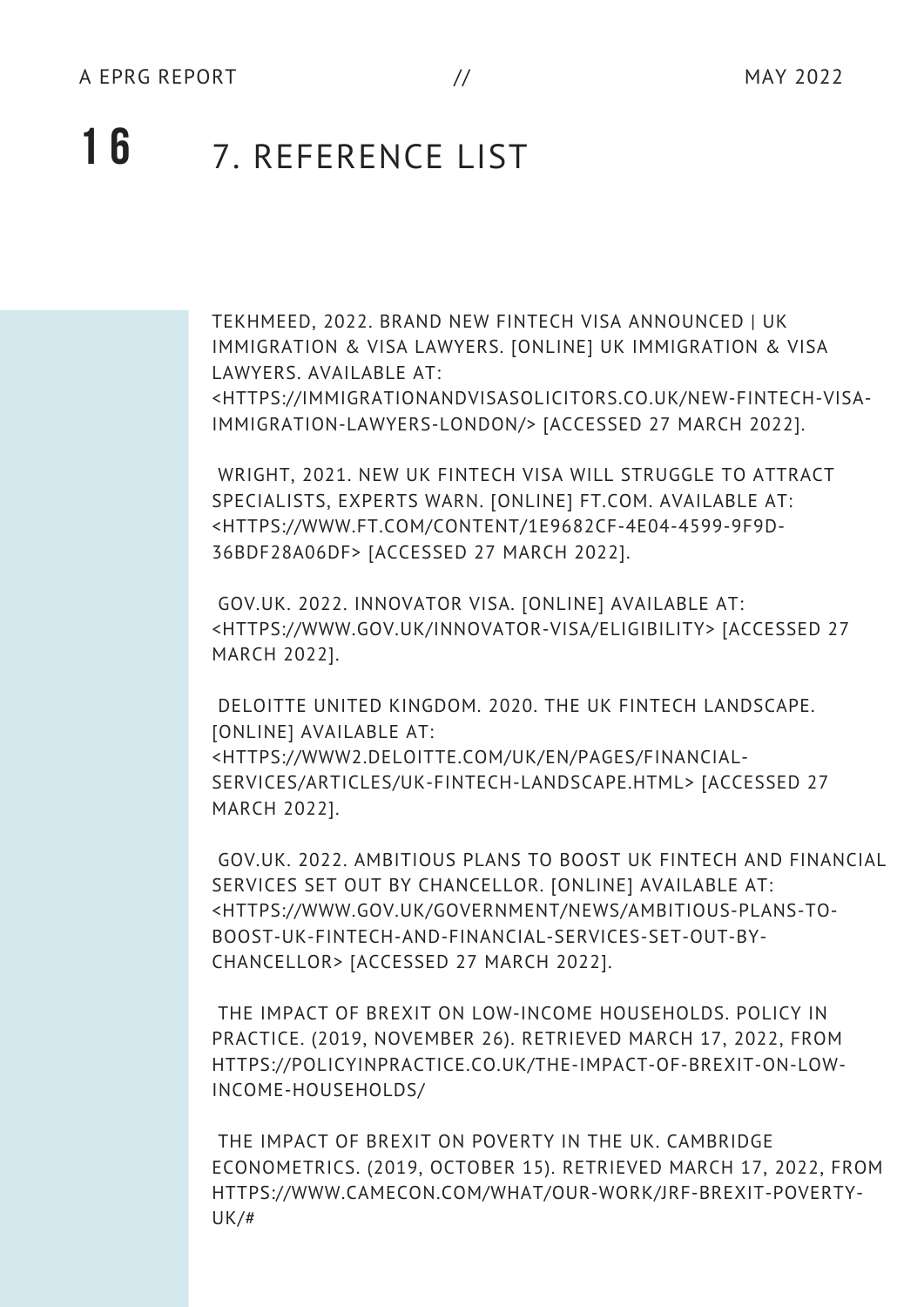### **1 6** 7. REFERENCE LIST

TEKHMEED, 2022. BRAND NEW FINTECH VISA ANNOUNCED | UK IMMIGRATION & VISA LAWYERS. [ONLINE] UK IMMIGRATION & VISA LAWYERS. AVAILABLE AT:

<HTTPS://IMMIGRATIONANDVISASOLICITORS.CO.UK/NEW-FINTECH-VISA-IMMIGRATION-LAWYERS-LONDON/> [ACCESSED 27 MARCH 2022].

WRIGHT, 2021. NEW UK FINTECH VISA WILL STRUGGLE TO ATTRACT SPECIALISTS, EXPERTS WARN. [ONLINE] FT.COM. AVAILABLE AT: <HTTPS://WWW.FT.COM/CONTENT/1E9682CF-4E04-4599-9F9D-36BDF28A06DF> [ACCESSED 27 MARCH 2022].

GOV.UK. 2022. INNOVATOR VISA. [ONLINE] AVAILABLE AT: <HTTPS://WWW.GOV.UK/INNOVATOR-VISA/ELIGIBILITY> [ACCESSED 27 MARCH 2022].

DELOITTE UNITED KINGDOM. 2020. THE UK FINTECH LANDSCAPE. [ONLINE] AVAILABLE AT: <HTTPS://WWW2.DELOITTE.COM/UK/EN/PAGES/FINANCIAL-SERVICES/ARTICLES/UK-FINTECH-LANDSCAPE.HTML> [ACCESSED 27 MARCH 2022].

GOV.UK. 2022. AMBITIOUS PLANS TO BOOST UK FINTECH AND FINANCIAL SERVICES SET OUT BY CHANCELLOR. [ONLINE] AVAILABLE AT: <HTTPS://WWW.GOV.UK/GOVERNMENT/NEWS/AMBITIOUS-PLANS-TO-BOOST-UK-FINTECH-AND-FINANCIAL-SERVICES-SET-OUT-BY-CHANCELLOR> [ACCESSED 27 MARCH 2022].

THE IMPACT OF BREXIT ON LOW-INCOME HOUSEHOLDS. POLICY IN PRACTICE. (2019, NOVEMBER 26). RETRIEVED MARCH 17, 2022, FROM HTTPS://POLICYINPRACTICE.CO.UK/THE-IMPACT-OF-BREXIT-ON-LOW-INCOME-HOUSEHOLDS/

THE IMPACT OF BREXIT ON POVERTY IN THE UK. CAMBRIDGE ECONOMETRICS. (2019, OCTOBER 15). RETRIEVED MARCH 17, 2022, FROM HTTPS://WWW.CAMECON.COM/WHAT/OUR-WORK/JRF-BREXIT-POVERTY-UK/#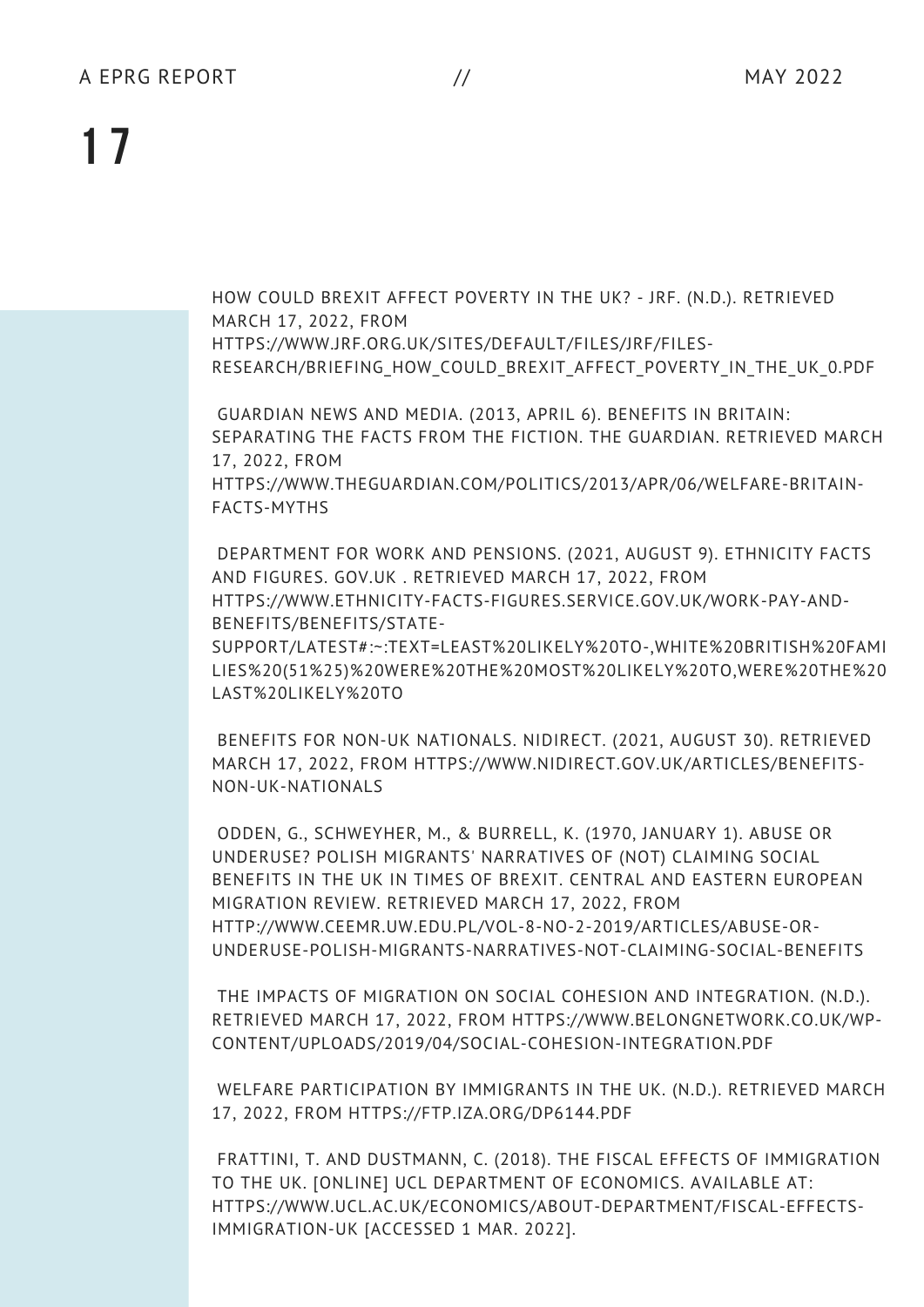HOW COULD BREXIT AFFECT POVERTY IN THE UK? - JRF. (N.D.). RETRIEVED MARCH 17, 2022, FROM HTTPS://WWW.JRF.ORG.UK/SITES/DEFAULT/FILES/JRF/FILES-RESEARCH/BRIEFING HOW COULD BREXIT AFFECT POVERTY IN THE UK 0.PDF

GUARDIAN NEWS AND MEDIA. (2013, APRIL 6). BENEFITS IN BRITAIN: SEPARATING THE FACTS FROM THE FICTION. THE GUARDIAN. RETRIEVED MARCH 17, 2022, FROM HTTPS://WWW.THEGUARDIAN.COM/POLITICS/2013/APR/06/WELFARE-BRITAIN-FACTS-MYTHS

DEPARTMENT FOR WORK AND PENSIONS. (2021, AUGUST 9). ETHNICITY FACTS AND FIGURES. GOV.UK . RETRIEVED MARCH 17, 2022, FROM HTTPS://WWW.ETHNICITY-FACTS-FIGURES.SERVICE.GOV.UK/WORK-PAY-AND-BENEFITS/BENEFITS/STATE-SUPPORT/LATEST#:~:TEXT=LEAST%20LIKELY%20TO-,WHITE%20BRITISH%20FAMI LIES%20(51%25)%20WERE%20THE%20MOST%20LIKELY%20TO,WERE%20THE%20

LAST%20LIKELY%20TO

BENEFITS FOR NON-UK NATIONALS. NIDIRECT. (2021, AUGUST 30). RETRIEVED MARCH 17, 2022, FROM HTTPS://WWW.NIDIRECT.GOV.UK/ARTICLES/BENEFITS-NON-UK-NATIONALS

ODDEN, G., SCHWEYHER, M., & BURRELL, K. (1970, JANUARY 1). ABUSE OR UNDERUSE? POLISH MIGRANTS' NARRATIVES OF (NOT) CLAIMING SOCIAL BENEFITS IN THE UK IN TIMES OF BREXIT. CENTRAL AND EASTERN EUROPEAN MIGRATION REVIEW. RETRIEVED MARCH 17, 2022, FROM HTTP://WWW.CEEMR.UW.EDU.PL/VOL-8-NO-2-2019/ARTICLES/ABUSE-OR-UNDERUSE-POLISH-MIGRANTS-NARRATIVES-NOT-CLAIMING-SOCIAL-BENEFITS

THE IMPACTS OF MIGRATION ON SOCIAL COHESION AND INTEGRATION. (N.D.). RETRIEVED MARCH 17, 2022, FROM HTTPS://WWW.BELONGNETWORK.CO.UK/WP-CONTENT/UPLOADS/2019/04/SOCIAL-COHESION-INTEGRATION.PDF

WELFARE PARTICIPATION BY IMMIGRANTS IN THE UK. (N.D.). RETRIEVED MARCH 17, 2022, FROM HTTPS://FTP.IZA.ORG/DP6144.PDF

FRATTINI, T. AND DUSTMANN, C. (2018). THE FISCAL EFFECTS OF IMMIGRATION TO THE UK. [ONLINE] UCL DEPARTMENT OF ECONOMICS. AVAILABLE AT: HTTPS://WWW.UCL.AC.UK/ECONOMICS/ABOUT-DEPARTMENT/FISCAL-EFFECTS-IMMIGRATION-UK [ACCESSED 1 MAR. 2022].